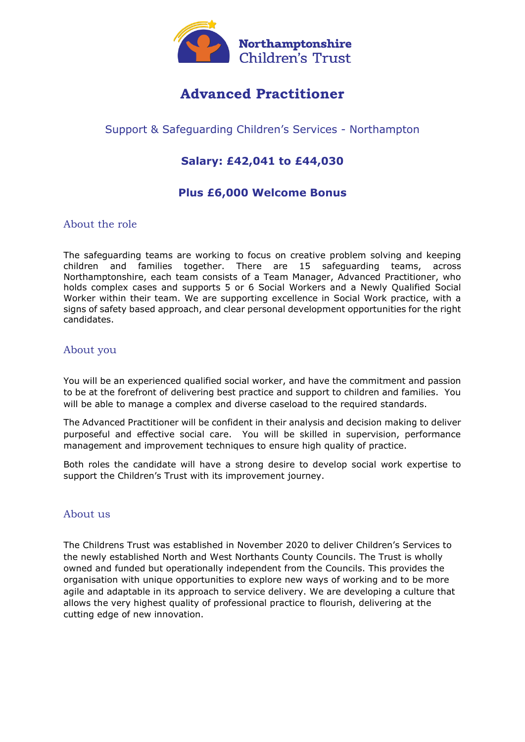

# **Advanced Practitioner**

## Support & Safeguarding Children's Services - Northampton

# **Salary: £42,041 to £44,030**

### **Plus £6,000 Welcome Bonus**

#### About the role

The safeguarding teams are working to focus on creative problem solving and keeping children and families together. There are 15 safeguarding teams, across Northamptonshire, each team consists of a Team Manager, Advanced Practitioner, who holds complex cases and supports 5 or 6 Social Workers and a Newly Qualified Social Worker within their team. We are supporting excellence in Social Work practice, with a signs of safety based approach, and clear personal development opportunities for the right candidates.

#### About you

You will be an experienced qualified social worker, and have the commitment and passion to be at the forefront of delivering best practice and support to children and families. You will be able to manage a complex and diverse caseload to the required standards.

The Advanced Practitioner will be confident in their analysis and decision making to deliver purposeful and effective social care. You will be skilled in supervision, performance management and improvement techniques to ensure high quality of practice.

Both roles the candidate will have a strong desire to develop social work expertise to support the Children's Trust with its improvement journey.

#### About us

The Childrens Trust was established in November 2020 to deliver Children's Services to the newly established North and West Northants County Councils. The Trust is wholly owned and funded but operationally independent from the Councils. This provides the organisation with unique opportunities to explore new ways of working and to be more agile and adaptable in its approach to service delivery. We are developing a culture that allows the very highest quality of professional practice to flourish, delivering at the cutting edge of new innovation.